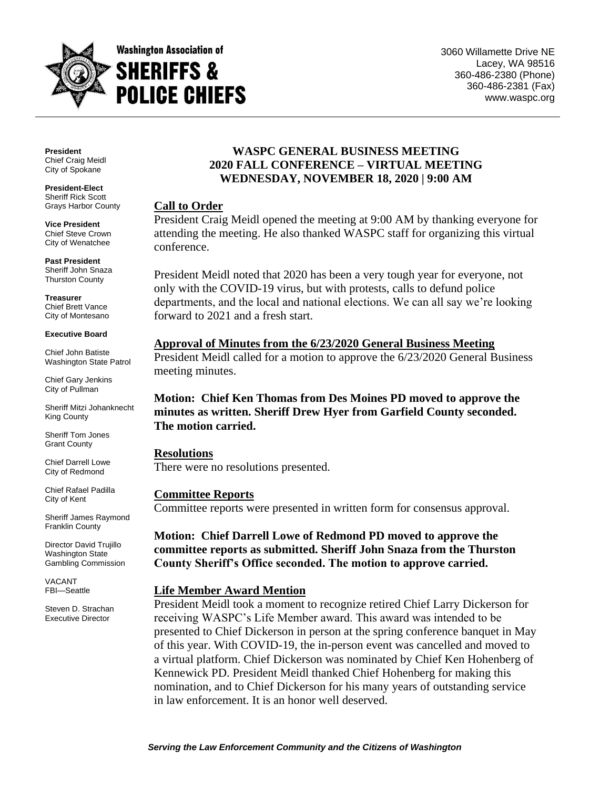

**President** Chief Craig Meidl City of Spokane

**President-Elect** Sheriff Rick Scott Grays Harbor County

**Vice President** Chief Steve Crown City of Wenatchee

**Past President** Sheriff John Snaza Thurston County

**Treasurer** Chief Brett Vance City of Montesano

#### **Executive Board**

Chief John Batiste Washington State Patrol

Chief Gary Jenkins City of Pullman

Sheriff Mitzi Johanknecht King County

Sheriff Tom Jones Grant County

Chief Darrell Lowe City of Redmond

Chief Rafael Padilla City of Kent

Sheriff James Raymond Franklin County

Director David Trujillo Washington State Gambling Commission

VACANT FBI—Seattle

Steven D. Strachan Executive Director

### **WASPC GENERAL BUSINESS MEETING 2020 FALL CONFERENCE – VIRTUAL MEETING WEDNESDAY, NOVEMBER 18, 2020 | 9:00 AM**

#### **Call to Order**

President Craig Meidl opened the meeting at 9:00 AM by thanking everyone for attending the meeting. He also thanked WASPC staff for organizing this virtual conference.

President Meidl noted that 2020 has been a very tough year for everyone, not only with the COVID-19 virus, but with protests, calls to defund police departments, and the local and national elections. We can all say we're looking forward to 2021 and a fresh start.

# **Approval of Minutes from the 6/23/2020 General Business Meeting**

President Meidl called for a motion to approve the 6/23/2020 General Business meeting minutes.

# **Motion: Chief Ken Thomas from Des Moines PD moved to approve the minutes as written. Sheriff Drew Hyer from Garfield County seconded. The motion carried.**

**Resolutions** There were no resolutions presented.

#### **Committee Reports**

Committee reports were presented in written form for consensus approval.

# **Motion: Chief Darrell Lowe of Redmond PD moved to approve the committee reports as submitted. Sheriff John Snaza from the Thurston County Sheriff's Office seconded. The motion to approve carried.**

#### **Life Member Award Mention**

President Meidl took a moment to recognize retired Chief Larry Dickerson for receiving WASPC's Life Member award. This award was intended to be presented to Chief Dickerson in person at the spring conference banquet in May of this year. With COVID-19, the in-person event was cancelled and moved to a virtual platform. Chief Dickerson was nominated by Chief Ken Hohenberg of Kennewick PD. President Meidl thanked Chief Hohenberg for making this nomination, and to Chief Dickerson for his many years of outstanding service in law enforcement. It is an honor well deserved.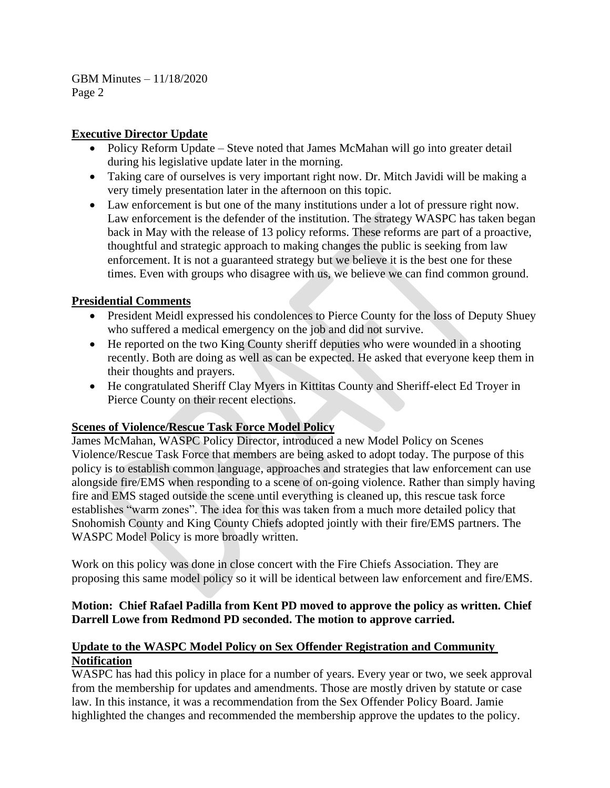# **Executive Director Update**

- Policy Reform Update Steve noted that James McMahan will go into greater detail during his legislative update later in the morning.
- Taking care of ourselves is very important right now. Dr. Mitch Javidi will be making a very timely presentation later in the afternoon on this topic.
- Law enforcement is but one of the many institutions under a lot of pressure right now. Law enforcement is the defender of the institution. The strategy WASPC has taken began back in May with the release of 13 policy reforms. These reforms are part of a proactive, thoughtful and strategic approach to making changes the public is seeking from law enforcement. It is not a guaranteed strategy but we believe it is the best one for these times. Even with groups who disagree with us, we believe we can find common ground.

# **Presidential Comments**

- President Meidl expressed his condolences to Pierce County for the loss of Deputy Shuey who suffered a medical emergency on the job and did not survive.
- He reported on the two King County sheriff deputies who were wounded in a shooting recently. Both are doing as well as can be expected. He asked that everyone keep them in their thoughts and prayers.
- He congratulated Sheriff Clay Myers in Kittitas County and Sheriff-elect Ed Troyer in Pierce County on their recent elections.

#### **Scenes of Violence/Rescue Task Force Model Policy**

James McMahan, WASPC Policy Director, introduced a new Model Policy on Scenes Violence/Rescue Task Force that members are being asked to adopt today. The purpose of this policy is to establish common language, approaches and strategies that law enforcement can use alongside fire/EMS when responding to a scene of on-going violence. Rather than simply having fire and EMS staged outside the scene until everything is cleaned up, this rescue task force establishes "warm zones". The idea for this was taken from a much more detailed policy that Snohomish County and King County Chiefs adopted jointly with their fire/EMS partners. The WASPC Model Policy is more broadly written.

Work on this policy was done in close concert with the Fire Chiefs Association. They are proposing this same model policy so it will be identical between law enforcement and fire/EMS.

# **Motion: Chief Rafael Padilla from Kent PD moved to approve the policy as written. Chief Darrell Lowe from Redmond PD seconded. The motion to approve carried.**

# **Update to the WASPC Model Policy on Sex Offender Registration and Community Notification**

WASPC has had this policy in place for a number of years. Every year or two, we seek approval from the membership for updates and amendments. Those are mostly driven by statute or case law. In this instance, it was a recommendation from the Sex Offender Policy Board. Jamie highlighted the changes and recommended the membership approve the updates to the policy.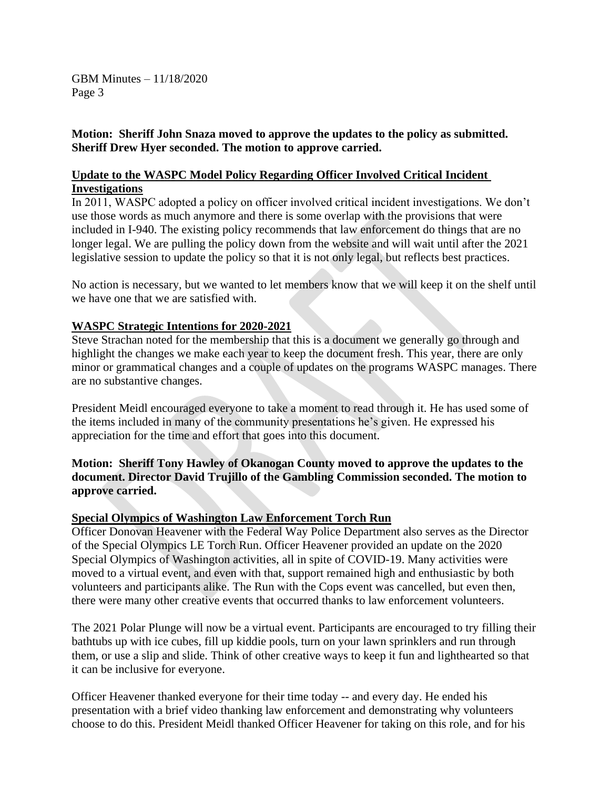**Motion: Sheriff John Snaza moved to approve the updates to the policy as submitted. Sheriff Drew Hyer seconded. The motion to approve carried.**

### **Update to the WASPC Model Policy Regarding Officer Involved Critical Incident Investigations**

In 2011, WASPC adopted a policy on officer involved critical incident investigations. We don't use those words as much anymore and there is some overlap with the provisions that were included in I-940. The existing policy recommends that law enforcement do things that are no longer legal. We are pulling the policy down from the website and will wait until after the 2021 legislative session to update the policy so that it is not only legal, but reflects best practices.

No action is necessary, but we wanted to let members know that we will keep it on the shelf until we have one that we are satisfied with.

#### **WASPC Strategic Intentions for 2020-2021**

Steve Strachan noted for the membership that this is a document we generally go through and highlight the changes we make each year to keep the document fresh. This year, there are only minor or grammatical changes and a couple of updates on the programs WASPC manages. There are no substantive changes.

President Meidl encouraged everyone to take a moment to read through it. He has used some of the items included in many of the community presentations he's given. He expressed his appreciation for the time and effort that goes into this document.

# **Motion: Sheriff Tony Hawley of Okanogan County moved to approve the updates to the document. Director David Trujillo of the Gambling Commission seconded. The motion to approve carried.**

#### **Special Olympics of Washington Law Enforcement Torch Run**

Officer Donovan Heavener with the Federal Way Police Department also serves as the Director of the Special Olympics LE Torch Run. Officer Heavener provided an update on the 2020 Special Olympics of Washington activities, all in spite of COVID-19. Many activities were moved to a virtual event, and even with that, support remained high and enthusiastic by both volunteers and participants alike. The Run with the Cops event was cancelled, but even then, there were many other creative events that occurred thanks to law enforcement volunteers.

The 2021 Polar Plunge will now be a virtual event. Participants are encouraged to try filling their bathtubs up with ice cubes, fill up kiddie pools, turn on your lawn sprinklers and run through them, or use a slip and slide. Think of other creative ways to keep it fun and lighthearted so that it can be inclusive for everyone.

Officer Heavener thanked everyone for their time today -- and every day. He ended his presentation with a brief video thanking law enforcement and demonstrating why volunteers choose to do this. President Meidl thanked Officer Heavener for taking on this role, and for his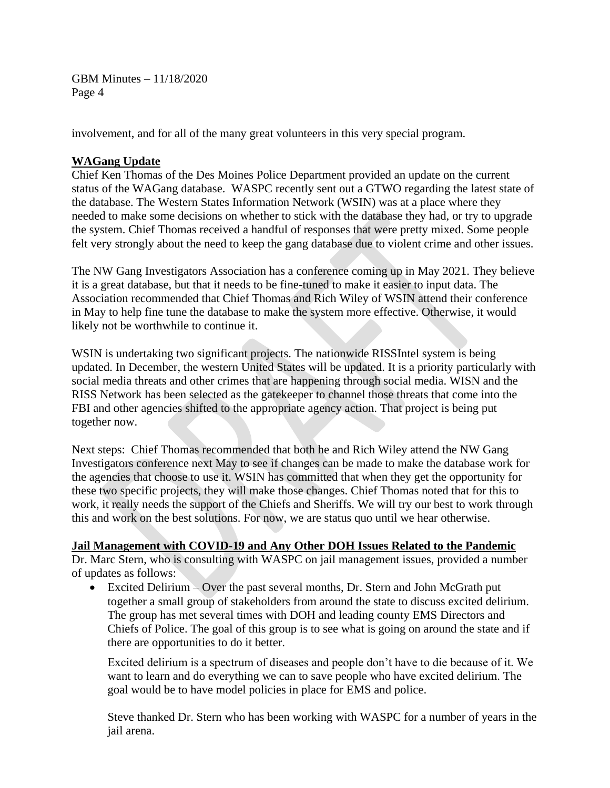involvement, and for all of the many great volunteers in this very special program.

### **WAGang Update**

Chief Ken Thomas of the Des Moines Police Department provided an update on the current status of the WAGang database. WASPC recently sent out a GTWO regarding the latest state of the database. The Western States Information Network (WSIN) was at a place where they needed to make some decisions on whether to stick with the database they had, or try to upgrade the system. Chief Thomas received a handful of responses that were pretty mixed. Some people felt very strongly about the need to keep the gang database due to violent crime and other issues.

The NW Gang Investigators Association has a conference coming up in May 2021. They believe it is a great database, but that it needs to be fine-tuned to make it easier to input data. The Association recommended that Chief Thomas and Rich Wiley of WSIN attend their conference in May to help fine tune the database to make the system more effective. Otherwise, it would likely not be worthwhile to continue it.

WSIN is undertaking two significant projects. The nationwide RISSIntel system is being updated. In December, the western United States will be updated. It is a priority particularly with social media threats and other crimes that are happening through social media. WISN and the RISS Network has been selected as the gatekeeper to channel those threats that come into the FBI and other agencies shifted to the appropriate agency action. That project is being put together now.

Next steps: Chief Thomas recommended that both he and Rich Wiley attend the NW Gang Investigators conference next May to see if changes can be made to make the database work for the agencies that choose to use it. WSIN has committed that when they get the opportunity for these two specific projects, they will make those changes. Chief Thomas noted that for this to work, it really needs the support of the Chiefs and Sheriffs. We will try our best to work through this and work on the best solutions. For now, we are status quo until we hear otherwise.

#### **Jail Management with COVID-19 and Any Other DOH Issues Related to the Pandemic**

Dr. Marc Stern, who is consulting with WASPC on jail management issues, provided a number of updates as follows:

• Excited Delirium – Over the past several months, Dr. Stern and John McGrath put together a small group of stakeholders from around the state to discuss excited delirium. The group has met several times with DOH and leading county EMS Directors and Chiefs of Police. The goal of this group is to see what is going on around the state and if there are opportunities to do it better.

Excited delirium is a spectrum of diseases and people don't have to die because of it. We want to learn and do everything we can to save people who have excited delirium. The goal would be to have model policies in place for EMS and police.

Steve thanked Dr. Stern who has been working with WASPC for a number of years in the jail arena.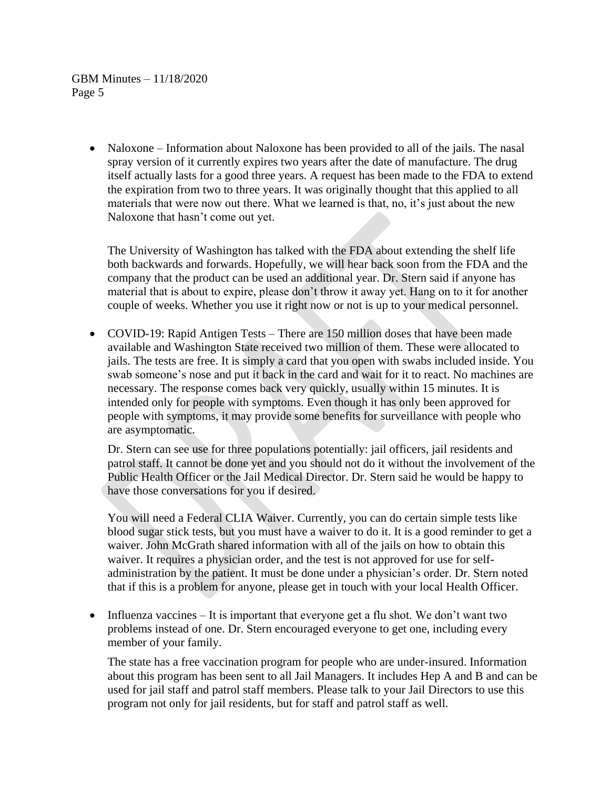> • Naloxone – Information about Naloxone has been provided to all of the jails. The nasal spray version of it currently expires two years after the date of manufacture. The drug itself actually lasts for a good three years. A request has been made to the FDA to extend the expiration from two to three years. It was originally thought that this applied to all materials that were now out there. What we learned is that, no, it's just about the new Naloxone that hasn't come out yet.

The University of Washington has talked with the FDA about extending the shelf life both backwards and forwards. Hopefully, we will hear back soon from the FDA and the company that the product can be used an additional year. Dr. Stern said if anyone has material that is about to expire, please don't throw it away yet. Hang on to it for another couple of weeks. Whether you use it right now or not is up to your medical personnel.

• COVID-19: Rapid Antigen Tests – There are 150 million doses that have been made available and Washington State received two million of them. These were allocated to jails. The tests are free. It is simply a card that you open with swabs included inside. You swab someone's nose and put it back in the card and wait for it to react. No machines are necessary. The response comes back very quickly, usually within 15 minutes. It is intended only for people with symptoms. Even though it has only been approved for people with symptoms, it may provide some benefits for surveillance with people who are asymptomatic.

Dr. Stern can see use for three populations potentially: jail officers, jail residents and patrol staff. It cannot be done yet and you should not do it without the involvement of the Public Health Officer or the Jail Medical Director. Dr. Stern said he would be happy to have those conversations for you if desired.

You will need a Federal CLIA Waiver. Currently, you can do certain simple tests like blood sugar stick tests, but you must have a waiver to do it. It is a good reminder to get a waiver. John McGrath shared information with all of the jails on how to obtain this waiver. It requires a physician order, and the test is not approved for use for selfadministration by the patient. It must be done under a physician's order. Dr. Stern noted that if this is a problem for anyone, please get in touch with your local Health Officer.

• Influenza vaccines – It is important that everyone get a flu shot. We don't want two problems instead of one. Dr. Stern encouraged everyone to get one, including every member of your family.

The state has a free vaccination program for people who are under-insured. Information about this program has been sent to all Jail Managers. It includes Hep A and B and can be used for jail staff and patrol staff members. Please talk to your Jail Directors to use this program not only for jail residents, but for staff and patrol staff as well.